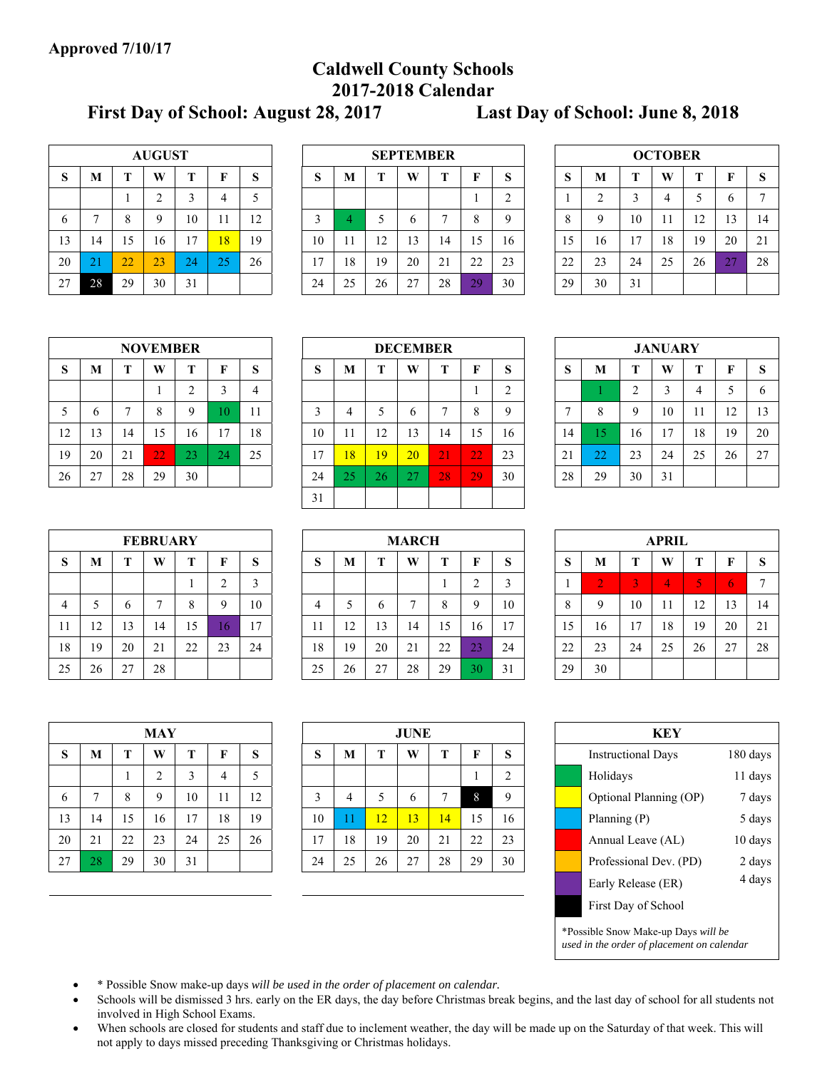# **Caldwell County Schools 2017-2018 Calendar**

**First Day of School: August 28, 2017 Last Day of School: June 8, 2018** 

|    |    |    | <b>AUGUST</b>  |    |    |    |
|----|----|----|----------------|----|----|----|
| S  | M  | T  | W              | T  | F  | S  |
|    |    |    | $\overline{2}$ | 3  | 4  | 5  |
| 6  | 7  | 8  | 9              | 10 | 11 | 12 |
| 13 | 14 | 15 | 16             | 17 | 18 | 19 |
| 20 | 21 | 22 | 23             | 24 | 25 | 26 |
| 27 | 28 | 29 | 30             | 31 |    |    |

|    |               |    | <b>AUGUST</b> |    |    |    |    |    |          | <b>SEPTEMBER</b> |    |    |    |    |    |    | <b>OCTOBER</b>            |    |    |              |
|----|---------------|----|---------------|----|----|----|----|----|----------|------------------|----|----|----|----|----|----|---------------------------|----|----|--------------|
| S  | M             | m  | W             |    | F  | S  | Ю  | M  |          | W                | m  | F  | D. | S  | M  | m  | W                         |    | F  | <sub>S</sub> |
|    |               |    | ∠             |    |    | ◡  |    |    |          |                  |    |    |    |    |    |    |                           |    | b  |              |
| 6  |               | Ω  | $\mathbf Q$   | 10 | 11 | 12 |    | 4  |          |                  |    |    |    | 8  |    | 10 | -1<br>$\mathbf{1}$<br>-11 | 12 | 13 | 14           |
| 13 | 14            | 15 | 16            | 17 | 18 | 19 | 10 | 11 | 12<br>⊥∠ | 13               | 14 | 15 | 16 | 15 | 16 | 17 | 18                        | 19 | 20 | 21           |
| 20 | $\sim$<br>-21 | 22 | 23            | 24 | つぐ | 26 | 17 | 18 | 19       | 20               | 21 | 22 | 23 | 22 | 23 | 24 | 25                        | 26 | 27 | 28           |
| 27 | 28            | 29 | 30            | 31 |    |    | 24 | 25 | 26       | 27               | 28 | 29 | 30 | 29 | 30 | 31 |                           |    |    |              |

|    |                |    | <b>OCTOBER</b> |    |    |    |
|----|----------------|----|----------------|----|----|----|
| S  | M              | T  | W              | T  | F  | S  |
|    | $\overline{2}$ | 3  |                | 5  | 6  |    |
| 8  | 9              | 10 | 11             | 12 | 13 | 14 |
| 15 | 16             | 17 | 18             | 19 | 20 | 21 |
| 22 | 23             | 24 | 25             | 26 | 27 | 28 |
| 29 | 30             | 31 |                |    |    |    |

|    |    |    | <b>NOVEMBER</b> |                |    |    |
|----|----|----|-----------------|----------------|----|----|
| S  | M  | T  | W               | T              | F  | S  |
|    |    |    |                 | $\overline{2}$ | 3  |    |
| 5  | 6  |    | 8               | 9              | 10 | 11 |
| 12 | 13 | 14 | 15              | 16             | 17 | 18 |
| 19 | 20 | 21 | 22              | 23             | 24 | 25 |
| 26 | 27 | 28 | 29              | 30             |    |    |

| M            | m  | W  | m  | F               | S  | ົ<br>Ю | M  |    | W            | т  | F               | G<br>D. | S  | M            | Т           | W              |    | F              | -S |
|--------------|----|----|----|-----------------|----|--------|----|----|--------------|----|-----------------|---------|----|--------------|-------------|----------------|----|----------------|----|
|              |    |    |    |                 | 4  |        |    |    |              |    |                 | ⌒       |    |              | ◠           |                | 4  |                | 6  |
| <sub>0</sub> | -  | 8  |    | $\overline{0}$  | 11 | ◠      | 4  |    | <sub>(</sub> |    | $\Omega$        |         |    | $\circ$<br>◠ | $\mathbf Q$ | 10             | 11 | 12             | 13 |
| 13           | 14 | 15 | 16 | 17<br>ı,        | 18 | 10     | 11 | 12 | 13           | 14 | 15              | 16      | 14 | 5            | 16          | $\overline{7}$ | 18 | 19             | 20 |
| 20           | 21 | 22 | 23 | 24              | 25 | 17     | 18 | 19 | 20           | 21 | 22              | 23      | 21 | 22           | 23          | 24             | 25 | 26             | 27 |
| 27           | 28 | 29 | 30 |                 |    | 24     | 25 | 26 | 27<br>ZΙ     | 28 | 29              | 30      | 28 | 29           | 30          | 31             |    |                |    |
|              |    |    |    |                 |    | 31     |    |    |              |    |                 |         |    |              |             |                |    |                |    |
|              |    |    |    | <b>NOVEMBER</b> |    |        |    |    |              |    | <b>DECEMBER</b> |         |    |              |             |                |    | <b>JANUARY</b> |    |

|    |    |                | <b>JANUARY</b> |    |    |    |
|----|----|----------------|----------------|----|----|----|
| S  | M  | T              | W              | T  | F  | S  |
|    |    | $\overline{2}$ | 3              | 4  | 5  | 6  |
| 7  | 8  | 9              | 10             | 11 | 12 | 13 |
| 14 | 15 | 16             | 17             | 18 | 19 | 20 |
| 21 | 22 | 23             | 24             | 25 | 26 | 27 |
| 28 | 29 | 30             | 31             |    |    |    |

|    |    |    | <b>FEBRUARY</b> |    |                |    |
|----|----|----|-----------------|----|----------------|----|
| S  | М  | T  | W               | Т  | F              | S  |
|    |    |    |                 |    | $\overline{2}$ | 3  |
|    | 5  | 6  | 7               | 8  | 9              | 10 |
| 11 | 12 | 13 | 14              | 15 | 16             | 17 |
| 18 | 19 | 20 | 21              | 22 | 23             | 24 |
| 25 | 26 | 27 | 28              |    |                |    |

|    |              |                  | <b>FEBRUARY</b> |    |    |         |        |    |    | <b>MARCH</b> |    |              |             |              |    |    | <b>APRIL</b> |           |    |    |
|----|--------------|------------------|-----------------|----|----|---------|--------|----|----|--------------|----|--------------|-------------|--------------|----|----|--------------|-----------|----|----|
| S  | M            |                  | W               | m  |    | ົ<br>D. | ົ<br>ు | M  | m. | W            | m  |              | $\sim$<br>O | S            | M  |    | W            |           | Ħ  | S  |
|    |              |                  |                 |    | ∸  | Ľ.      |        |    |    |              |    |              |             |              |    |    | 4            | K<br>منعا |    | ⇁  |
| 4  |              |                  |                 | ð  | Q  | 10      | 4      |    | b  |              | 8  |              | 10          | $\circ$<br>Ō |    | 10 | 11           | 12        | 13 | 14 |
|    | $12^{\circ}$ | 13               | 14              | 15 | l6 | 17      | 11     | 12 | 13 | 14           | 15 | 16           | 17          | 15           | 16 | 17 | 18           | 19        | 20 | 21 |
| 8  | 19           | 20               | 21              | 22 | 23 | 24      | 18     | 19 | 20 | 21           | 22 | $\cap$<br>23 | 24          | 22           | 23 | 24 | 25           | 26        | 27 | 28 |
| 25 | 26           | 27<br>$\angle$ / | 28              |    |    |         | 25     | 26 | 27 | 28           | 29 | 30           | 31          | 29           | 30 |    |              |           |    |    |

|    |                |    | APRIL |    |    |    |
|----|----------------|----|-------|----|----|----|
| S  | M              | T  | W     | T  | F  | S  |
| 1  | $\overline{2}$ | 3  | 4     | 5  | 6  |    |
| 8  | 9              | 10 | 11    | 12 | 13 | 14 |
| 15 | 16             | 17 | 18    | 19 | 20 | 21 |
| 22 | 23             | 24 | 25    | 26 | 27 | 28 |
| 29 | 30             |    |       |    |    |    |

|    |    |    | <b>MAY</b>     |    |    |    |    |    |    | <b>JUNE</b> |    |    |                |  | <b>KEY</b>                                                                        |          |
|----|----|----|----------------|----|----|----|----|----|----|-------------|----|----|----------------|--|-----------------------------------------------------------------------------------|----------|
| S  | M  |    | W              | T  | F  | S  | S  | M  |    | W           |    | F  | S              |  | <b>Instructional Days</b>                                                         | 180 days |
|    |    |    | $\overline{2}$ | 3  | 4  | 5  |    |    |    |             |    |    | $\overline{2}$ |  | Holidays                                                                          | 11 days  |
| 6  |    | 8  | 9              | 10 | 11 | 12 | 3  | 4  | 5  | 6           |    | 8  | 9              |  | Optional Planning (OP)                                                            | 7 days   |
| 13 | 14 | 15 | 16             | 17 | 18 | 19 | 10 | 11 | 12 | 13          | 14 | 15 | 16             |  | Planning (P)                                                                      | 5 days   |
| 20 | 21 | 22 | 23             | 24 | 25 | 26 | 17 | 18 | 19 | 20          | 21 | 22 | 23             |  | Annual Leave (AL)                                                                 | 10 days  |
| 27 | 28 | 29 | 30             | 31 |    |    | 24 | 25 | 26 | 27          | 28 | 29 | 30             |  | Professional Dev. (PD)                                                            | 2 days   |
|    |    |    |                |    |    |    |    |    |    |             |    |    |                |  | Early Release (ER)                                                                | 4 days   |
|    |    |    |                |    |    |    |    |    |    |             |    |    |                |  | First Day of School                                                               |          |
|    |    |    |                |    |    |    |    |    |    |             |    |    |                |  | *Possible Snow Make-up Days will be<br>used in the order of placement on calendar |          |

- \* Possible Snow make-up days *will be used in the order of placement on calendar.*
- Schools will be dismissed 3 hrs. early on the ER days, the day before Christmas break begins, and the last day of school for all students not involved in High School Exams.
- When schools are closed for students and staff due to inclement weather, the day will be made up on the Saturday of that week. This will not apply to days missed preceding Thanksgiving or Christmas holidays.

|                |    |    | <b>MAY</b>   |              |                    |    |    |    |    | <b>JUNE</b>  |    |            |    |              |                |    | <b>KEY</b>     |    |    |                 |
|----------------|----|----|--------------|--------------|--------------------|----|----|----|----|--------------|----|------------|----|--------------|----------------|----|----------------|----|----|-----------------|
|                |    |    |              |              |                    |    |    |    |    |              |    |            |    |              |                |    |                |    |    |                 |
| 25             | 26 | 27 | 28           |              |                    |    | 25 | 26 | 27 | 28           | 29 | 30         | 31 | 29           | 30             |    |                |    |    |                 |
| 18             | 19 | 20 | 21           | 22           | 23                 | 24 | 18 | 19 | 20 | 21           | 22 | 23         | 24 | 22           | 23             | 24 | 25             | 26 | 27 | 28              |
| 11             | 12 | 13 | 14           | 15           | 16                 | 17 | 11 | 12 | 13 | 14           | 15 | 16         | 17 | 15           | 16             | 17 | 18             | 19 | 20 | 21              |
| $\overline{4}$ |    | 6  | $\mathbf{r}$ | 8            | 9                  | 10 | 4  | 5  | 6  | $\mathbf{r}$ | 8  | 9          | 10 | 8            | 9              | 10 | 11             | 12 | 13 | 14              |
|                |    |    |              | $\mathbf{I}$ | $\mathcal{L}$<br>∠ | 3  |    |    |    |              | -  | $\bigcirc$ | 3  | $\mathbf{I}$ | $\overline{2}$ | 3  | $\overline{4}$ | 5  | 6  | $7\overline{ }$ |

| KEY                       |  |                |    |                 | <b>JUNE</b> |    |    |    |    |                |    | MAY |
|---------------------------|--|----------------|----|-----------------|-------------|----|----|----|----|----------------|----|-----|
| <b>Instructional Days</b> |  | S              | F  | т               | W           | т  | M  | S  | S  | F              | т  | W   |
| Holidays                  |  | $\overline{c}$ |    |                 |             |    |    |    |    | $\overline{4}$ | 3  | 2   |
| Optional Planning (       |  | 9              | 8  |                 | 6           | 5  | 4  | 3  | 12 | 11             | 10 | 9   |
| Planning (P)              |  | 16             | 15 | $\overline{14}$ | 13          | 12 | 11 | 10 | 19 | 18             | 17 | 16  |
| Annual Leave (AL)         |  | 23             | 22 | 21              | 20          | 19 | 18 | 17 | 26 | 25             | 24 | 23  |
| Professional Dev. (1      |  | 30             | 29 | 28              | 27          | 26 | 25 | 24 |    |                | 31 | 30  |
|                           |  |                |    |                 |             |    |    |    |    |                |    |     |